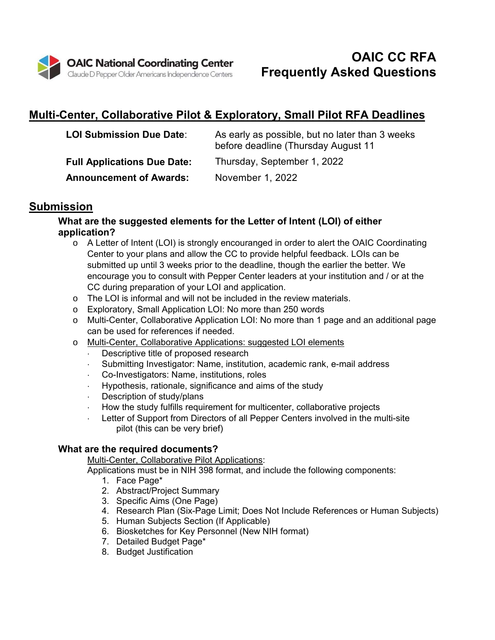

# **Multi-Center, Collaborative Pilot & Exploratory, Small Pilot RFA Deadlines**

| <b>LOI Submission Due Date:</b>    | As early as possible, but no later than 3 weeks<br>before deadline (Thursday August 11 |
|------------------------------------|----------------------------------------------------------------------------------------|
| <b>Full Applications Due Date:</b> | Thursday, September 1, 2022                                                            |
| <b>Announcement of Awards:</b>     | November 1, 2022                                                                       |

# **Submission**

# **What are the suggested elements for the Letter of Intent (LOI) of either application?**

- o A Letter of Intent (LOI) is strongly encouranged in order to alert the OAIC Coordinating Center to your plans and allow the CC to provide helpful feedback. LOIs can be submitted up until 3 weeks prior to the deadline, though the earlier the better. We encourage you to consult with Pepper Center leaders at your institution and / or at the CC during preparation of your LOI and application.
- o The LOI is informal and will not be included in the review materials.
- o Exploratory, Small Application LOI: No more than 250 words
- o Multi-Center, Collaborative Application LOI: No more than 1 page and an additional page can be used for references if needed.
- o Multi-Center, Collaborative Applications: suggested LOI elements
	- Descriptive title of proposed research
	- Submitting Investigator: Name, institution, academic rank, e-mail address
	- Co-Investigators: Name, institutions, roles
	- Hypothesis, rationale, significance and aims of the study
	- Description of study/plans
	- How the study fulfills requirement for multicenter, collaborative projects
	- Letter of Support from Directors of all Pepper Centers involved in the multi-site pilot (this can be very brief)

# **What are the required documents?**

## Multi-Center, Collaborative Pilot Applications:

Applications must be in NIH 398 format, and include the following components:

- 1. Face Page\*
- 2. Abstract/Project Summary
- 3. Specific Aims (One Page)
- 4. Research Plan (Six-Page Limit; Does Not Include References or Human Subjects)
- 5. Human Subjects Section (If Applicable)
- 6. Biosketches for Key Personnel (New NIH format)
- 7. Detailed Budget Page\*
- 8. Budget Justification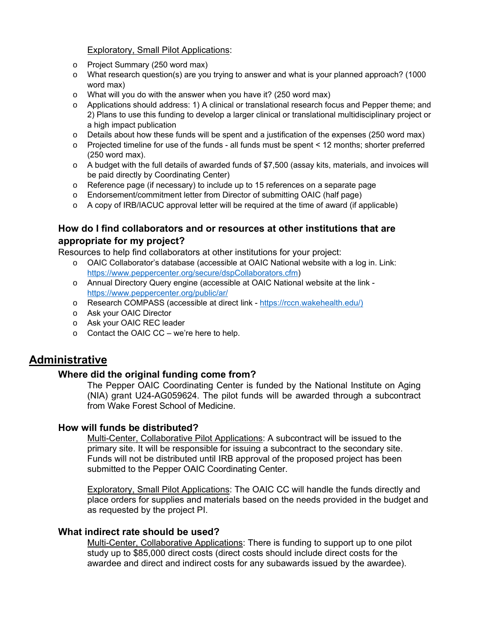Exploratory, Small Pilot Applications:

- o Project Summary (250 word max)
- o What research question(s) are you trying to answer and what is your planned approach? (1000 word max)
- o What will you do with the answer when you have it? (250 word max)
- o Applications should address: 1) A clinical or translational research focus and Pepper theme; and 2) Plans to use this funding to develop a larger clinical or translational multidisciplinary project or a high impact publication
- $\circ$  Details about how these funds will be spent and a justification of the expenses (250 word max)
- $\circ$  Projected timeline for use of the funds all funds must be spent < 12 months; shorter preferred (250 word max).
- o A budget with the full details of awarded funds of \$7,500 (assay kits, materials, and invoices will be paid directly by Coordinating Center)
- $\circ$  Reference page (if necessary) to include up to 15 references on a separate page
- o Endorsement/commitment letter from Director of submitting OAIC (half page)
- o A copy of IRB/IACUC approval letter will be required at the time of award (if applicable)

# **How do I find collaborators and or resources at other institutions that are appropriate for my project?**

Resources to help find collaborators at other institutions for your project:

- o OAIC Collaborator's database (accessible at OAIC National website with a log in. Link: https://www.peppercenter.org/secure/dspCollaborators.cfm)
- o Annual Directory Query engine (accessible at OAIC National website at the link https://www.peppercenter.org/public/ar/
- o Research COMPASS (accessible at direct link https://rccn.wakehealth.edu/)
- o Ask your OAIC Director
- o Ask your OAIC REC leader
- o Contact the OAIC CC we're here to help.

# **Administrative**

## **Where did the original funding come from?**

The Pepper OAIC Coordinating Center is funded by the National Institute on Aging (NIA) grant U24-AG059624. The pilot funds will be awarded through a subcontract from Wake Forest School of Medicine.

## **How will funds be distributed?**

Multi-Center, Collaborative Pilot Applications: A subcontract will be issued to the primary site. It will be responsible for issuing a subcontract to the secondary site. Funds will not be distributed until IRB approval of the proposed project has been submitted to the Pepper OAIC Coordinating Center.

Exploratory, Small Pilot Applications: The OAIC CC will handle the funds directly and place orders for supplies and materials based on the needs provided in the budget and as requested by the project PI.

## **What indirect rate should be used?**

Multi-Center, Collaborative Applications: There is funding to support up to one pilot study up to \$85,000 direct costs (direct costs should include direct costs for the awardee and direct and indirect costs for any subawards issued by the awardee).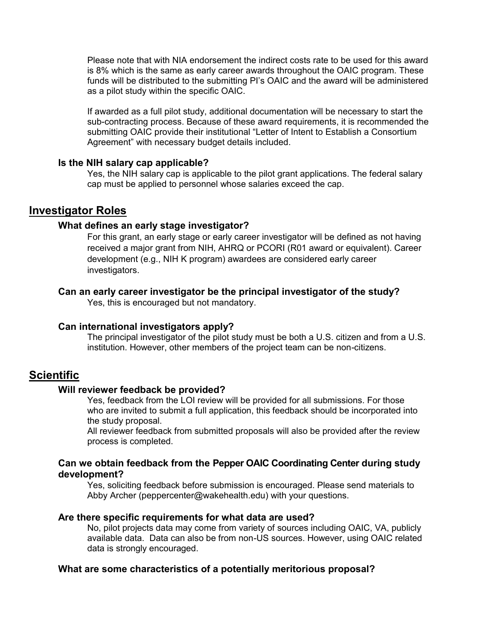Please note that with NIA endorsement the indirect costs rate to be used for this award is 8% which is the same as early career awards throughout the OAIC program. These funds will be distributed to the submitting PI's OAIC and the award will be administered as a pilot study within the specific OAIC.

If awarded as a full pilot study, additional documentation will be necessary to start the sub-contracting process. Because of these award requirements, it is recommended the submitting OAIC provide their institutional "Letter of Intent to Establish a Consortium Agreement" with necessary budget details included.

#### **Is the NIH salary cap applicable?**

Yes, the NIH salary cap is applicable to the pilot grant applications. The federal salary cap must be applied to personnel whose salaries exceed the cap.

# **Investigator Roles**

#### **What defines an early stage investigator?**

For this grant, an early stage or early career investigator will be defined as not having received a major grant from NIH, AHRQ or PCORI (R01 award or equivalent). Career development (e.g., NIH K program) awardees are considered early career investigators.

#### **Can an early career investigator be the principal investigator of the study?**

Yes, this is encouraged but not mandatory.

#### **Can international investigators apply?**

The principal investigator of the pilot study must be both a U.S. citizen and from a U.S. institution. However, other members of the project team can be non-citizens.

# **Scientific**

### **Will reviewer feedback be provided?**

Yes, feedback from the LOI review will be provided for all submissions. For those who are invited to submit a full application, this feedback should be incorporated into the study proposal.

All reviewer feedback from submitted proposals will also be provided after the review process is completed.

#### **Can we obtain feedback from the Pepper OAIC Coordinating Center during study development?**

Yes, soliciting feedback before submission is encouraged. Please send materials to Abby Archer (peppercenter@wakehealth.edu) with your questions.

#### **Are there specific requirements for what data are used?**

No, pilot projects data may come from variety of sources including OAIC, VA, publicly available data. Data can also be from non-US sources. However, using OAIC related data is strongly encouraged.

### **What are some characteristics of a potentially meritorious proposal?**